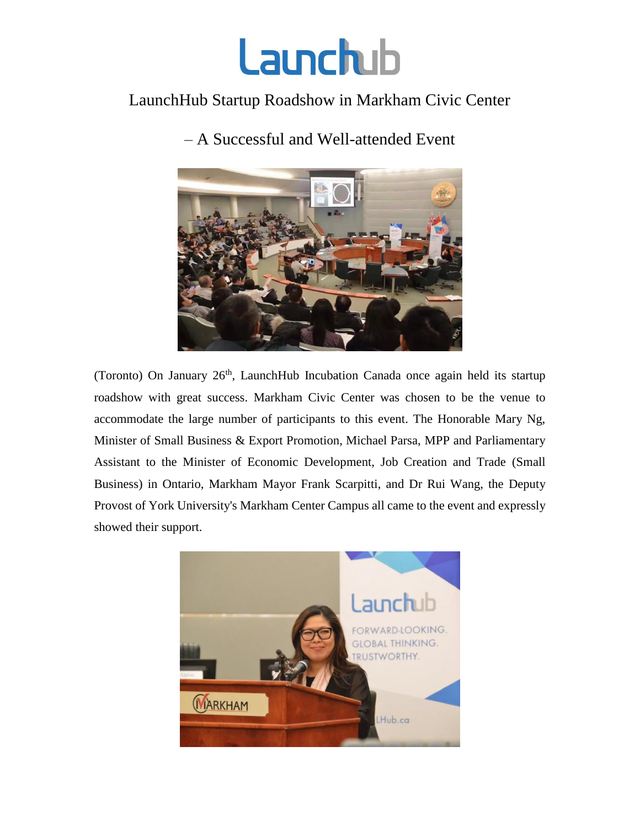

## LaunchHub Startup Roadshow in Markham Civic Center



– A Successful and Well-attended Event

(Toronto) On January  $26<sup>th</sup>$ , LaunchHub Incubation Canada once again held its startup roadshow with great success. Markham Civic Center was chosen to be the venue to accommodate the large number of participants to this event. The Honorable Mary Ng, Minister of Small Business & Export Promotion, Michael Parsa, MPP and Parliamentary Assistant to the Minister of Economic Development, Job Creation and Trade (Small Business) in Ontario, Markham Mayor Frank Scarpitti, and Dr Rui Wang, the Deputy Provost of York University's Markham Center Campus all came to the event and expressly showed their support.

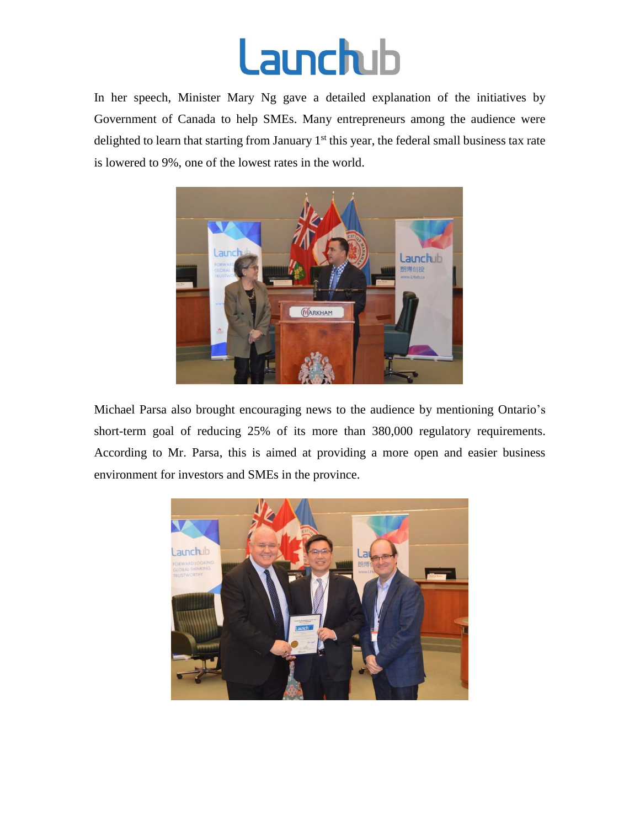## **Launchub**

In her speech, Minister Mary Ng gave a detailed explanation of the initiatives by Government of Canada to help SMEs. Many entrepreneurs among the audience were delighted to learn that starting from January 1<sup>st</sup> this year, the federal small business tax rate is lowered to 9%, one of the lowest rates in the world.



Michael Parsa also brought encouraging news to the audience by mentioning Ontario's short-term goal of reducing 25% of its more than 380,000 regulatory requirements. According to Mr. Parsa, this is aimed at providing a more open and easier business environment for investors and SMEs in the province.

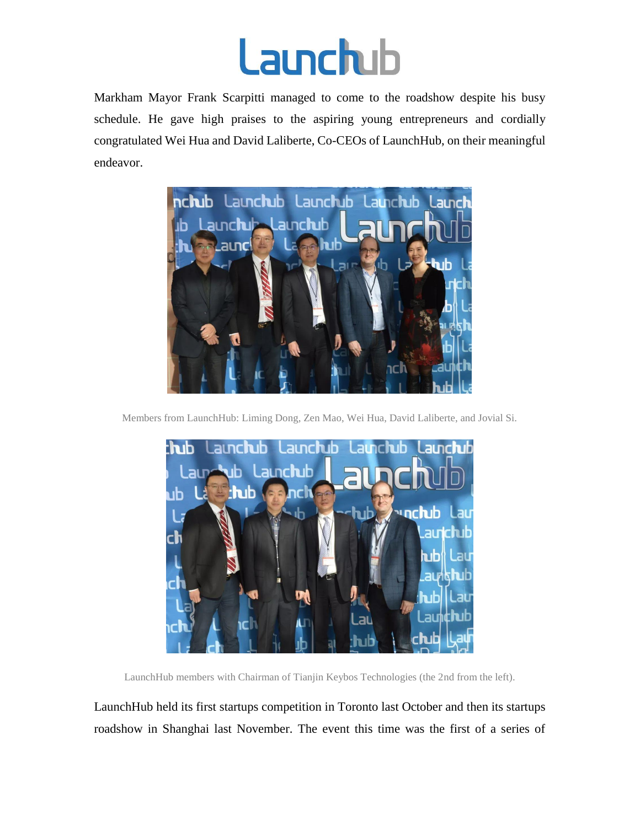

Markham Mayor Frank Scarpitti managed to come to the roadshow despite his busy schedule. He gave high praises to the aspiring young entrepreneurs and cordially congratulated Wei Hua and David Laliberte, Co-CEOs of LaunchHub, on their meaningful endeavor.



Members from LaunchHub: Liming Dong, Zen Mao, Wei Hua, David Laliberte, and Jovial Si.



LaunchHub members with Chairman of Tianjin Keybos Technologies (the 2nd from the left).

LaunchHub held its first startups competition in Toronto last October and then its startups roadshow in Shanghai last November. The event this time was the first of a series of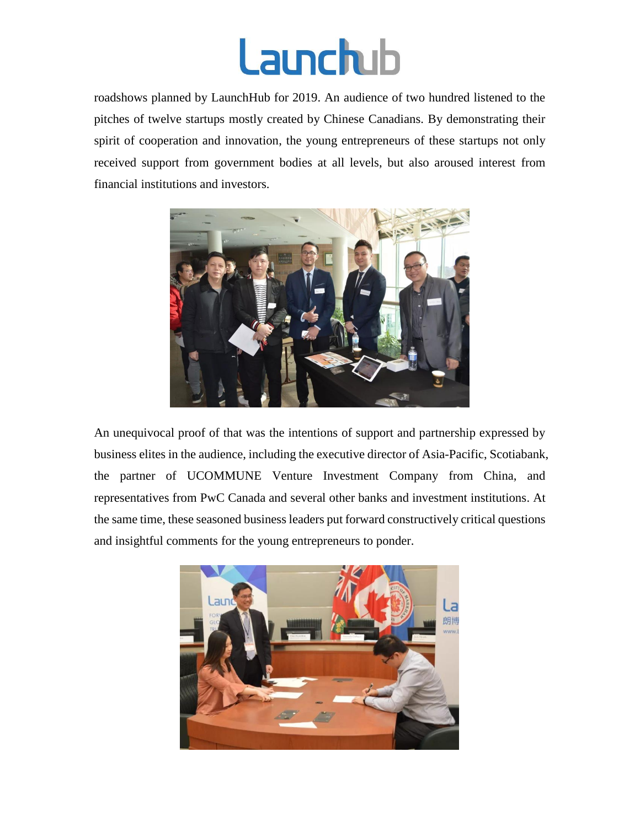

roadshows planned by LaunchHub for 2019. An audience of two hundred listened to the pitches of twelve startups mostly created by Chinese Canadians. By demonstrating their spirit of cooperation and innovation, the young entrepreneurs of these startups not only received support from government bodies at all levels, but also aroused interest from financial institutions and investors.



An unequivocal proof of that was the intentions of support and partnership expressed by business elites in the audience, including the executive director of Asia-Pacific, Scotiabank, the partner of UCOMMUNE Venture Investment Company from China, and representatives from PwC Canada and several other banks and investment institutions. At the same time, these seasoned business leaders put forward constructively critical questions and insightful comments for the young entrepreneurs to ponder.

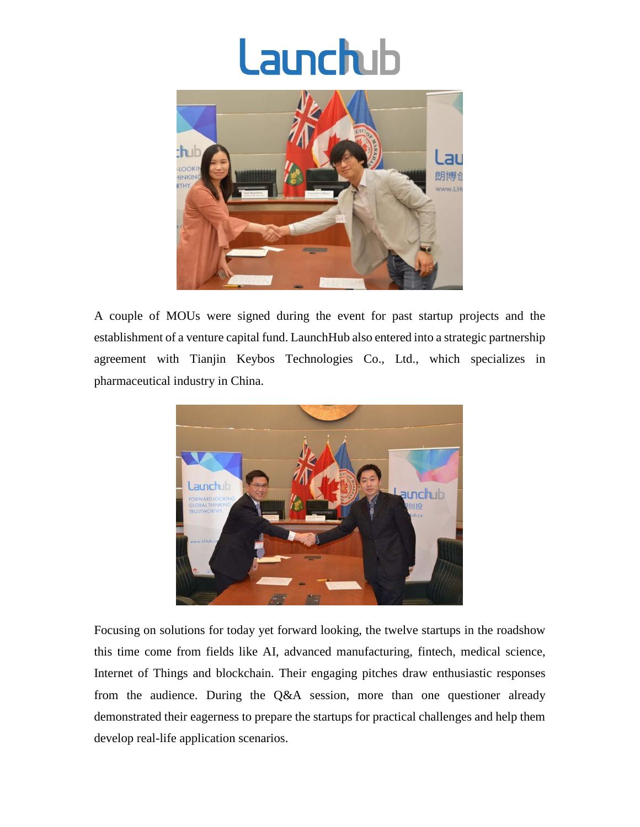## **Launchub**



A couple of MOUs were signed during the event for past startup projects and the establishment of a venture capital fund. LaunchHub also entered into a strategic partnership agreement with Tianjin Keybos Technologies Co., Ltd., which specializes in pharmaceutical industry in China.



Focusing on solutions for today yet forward looking, the twelve startups in the roadshow this time come from fields like AI, advanced manufacturing, fintech, medical science, Internet of Things and blockchain. Their engaging pitches draw enthusiastic responses from the audience. During the Q&A session, more than one questioner already demonstrated their eagerness to prepare the startups for practical challenges and help them develop real-life application scenarios.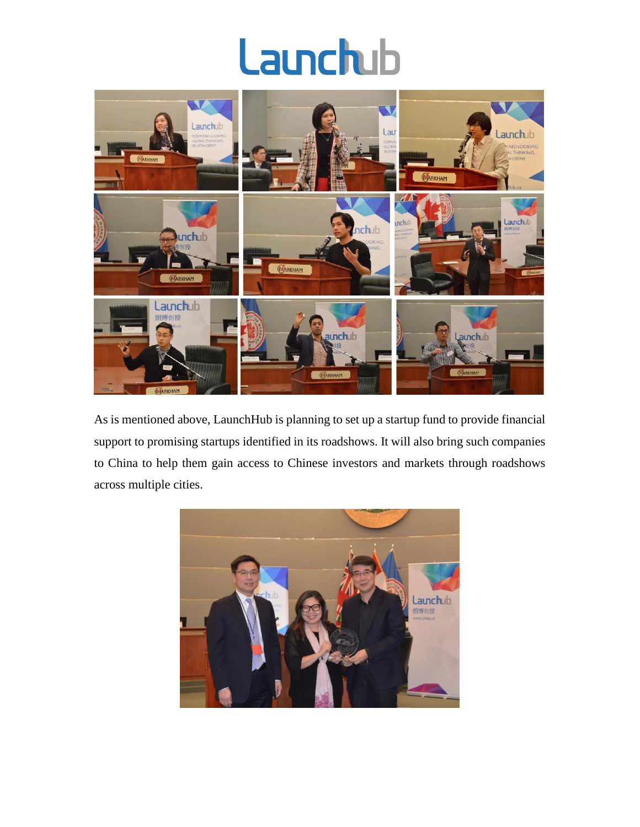## Launchub



As is mentioned above, LaunchHub is planning to set up a startup fund to provide financial support to promising startups identified in its roadshows. It will also bring such companies to China to help them gain access to Chinese investors and markets through roadshows across multiple cities.